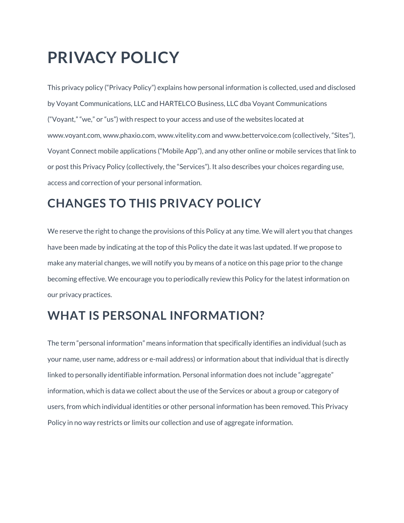# **PRIVACY POLICY**

This privacy policy ("Privacy Policy") explains how personal information is collected, used and disclosed by Voyant Communications, LLC and HARTELCO Business, LLC dba Voyant Communications ("Voyant," "we," or "us") with respect to your access and use of the websites located at www.voyant.com, www.phaxio.com, www.vitelity.com and www.bettervoice.com (collectively, "Sites"), Voyant Connect mobile applications ("Mobile App"), and any other online or mobile services that link to or post this Privacy Policy (collectively, the "Services"). It also describes your choices regarding use, access and correction of your personal information.

# **CHANGES TO THIS PRIVACY POLICY**

We reserve the right to change the provisions of this Policy at any time. We will alert you that changes have been made by indicating at the top of this Policy the date it was last updated. If we propose to make any material changes, we will notify you by means of a notice on this page prior to the change becoming effective. We encourage you to periodically review this Policy for the latest information on our privacy practices.

# **WHAT IS PERSONAL INFORMATION?**

The term "personal information" means information that specifically identifies an individual (such as your name, user name, address or e-mail address) or information about that individual that is directly linked to personally identifiable information. Personal information does not include "aggregate" information, which is data we collect about the use of the Services or about a group or category of users, from which individual identities or other personal information has been removed. This Privacy Policy in no way restricts or limits our collection and use of aggregate information.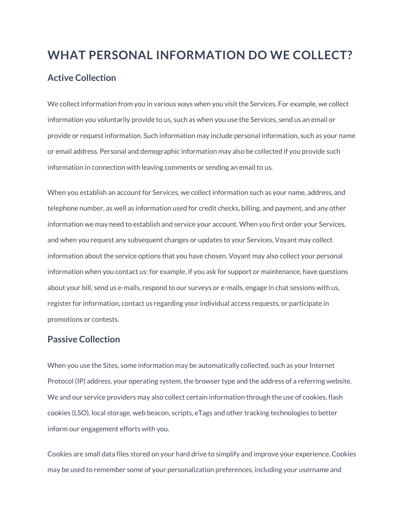# **WHAT PERSONAL INFORMATION DO WE COLLECT? Active Collection**

We collect information from you in various ways when you visit the Services. For example, we collect information you voluntarily provide to us, such as when you use the Services, send us an email or provide or request information. Such information may include personal information, such as your name or email address. Personal and demographic information may also be collected if you provide such information in connection with leaving comments or sending an email to us.

When you establish an account for Services, we collect information such as your name, address, and telephone number, as well as information used for credit checks, billing, and payment, and any other information we may need to establish and service your account. When you first order your Services, and when you request any subsequent changes or updates to your Services, Voyant may collect information about the service options that you have chosen. Voyant may also collect your personal information when you contact us: for example, if you ask for support or maintenance, have questions about your bill, send us e-mails, respond to our surveys or e-mails, engage in chat sessions with us, register for information, contact us regarding your individual access requests, or participate in promotions or contests.

#### **Passive Collection**

When you use the Sites, some information may be automatically collected, such as your Internet Protocol (IP) address, your operating system, the browser type and the address of a referring website. We and our service providers may also collect certain information through the use of cookies, flash cookies (LSO), local storage, web beacon, scripts, eTags and other tracking technologies to better inform our engagement efforts with you.

Cookies are small data files stored on your hard drive to simplify and improve your experience. Cookies may be used to remember some of your personalization preferences, including your username and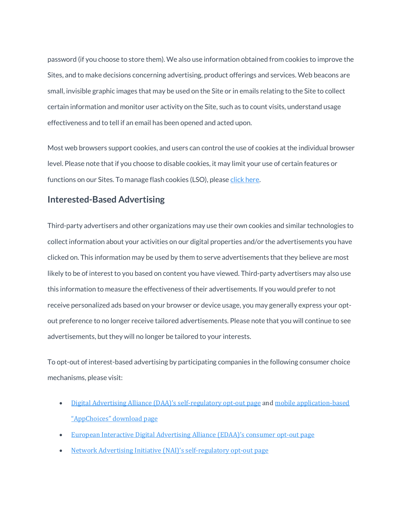password (if you choose to store them). We also use information obtained from cookies to improve the Sites, and to make decisions concerning advertising, product offerings and services. Web beacons are small, invisible graphic images that may be used on the Site or in emails relating to the Site to collect certain information and monitor user activity on the Site, such as to count visits, understand usage effectiveness and to tell if an email has been opened and acted upon.

Most web browsers support cookies, and users can control the use of cookies at the individual browser level. Please note that if you choose to disable cookies, it may limit your use of certain features or functions on our Sites. To manage flash cookies (LSO), please click [here.](http://www.macromedia.com/support/documentation/en/flashplayer/help/settings_manager07.html)

#### **Interested-Based Advertising**

Third-party advertisers and other organizations may use their own cookies and similar technologies to collect information about your activities on our digital properties and/or the advertisements you have clicked on. This information may be used by them to serve advertisements that they believe are most likely to be of interest to you based on content you have viewed. Third-party advertisers may also use this information to measure the effectiveness of their advertisements. If you would prefer to not receive personalized ads based on your browser or device usage, you may generally express your optout preference to no longer receive tailored advertisements. Please note that you will continue to see advertisements, but they will no longer be tailored to your interests.

To opt-out of interest-based advertising by participating companies in the following consumer choice mechanisms, please visit:

- Digital Advertising Alliance (DAA)'s [self-regulatory](http://optout.aboutads.info/) opt-out page and mobile [application-based](https://youradchoices.com/appchoices) ["AppChoices"](https://youradchoices.com/appchoices) download page
- European Interactive Digital [Advertising](http://youronlinechoices.eu/) Alliance (EDAA)'s consumer opt-out page
- Network Advertising Initiative (NAI)'s [self-regulatory](http://optout.networkadvertising.org/) opt-out page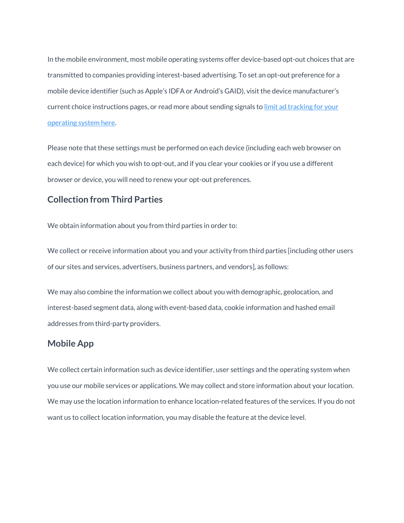In the mobile environment, most mobile operating systems offer device-based opt-out choices that are transmitted to companies providing interest-based advertising. To set an opt-out preference for a mobile device identifier (such as Apple's IDFA or Android's GAID), visit the device manufacturer's current choice instructions pages, or read more about sending signals to limit ad [tracking](http://www.networkadvertising.org/mobile-choices) for your [operating](http://www.networkadvertising.org/mobile-choices) system here.

Please note that these settings must be performed on each device (including each web browser on each device) for which you wish to opt-out, and if you clear your cookies or if you use a different browser or device, you will need to renew your opt-out preferences.

#### **Collection from Third Parties**

We obtain information about you from third parties in order to:

We collect or receive information about you and your activity from third parties [including other users of our sites and services, advertisers, business partners, and vendors], as follows:

We may also combine the information we collect about you with demographic, geolocation, and interest-based segment data, along with event-based data, cookie information and hashed email addresses from third-party providers.

#### **Mobile App**

We collect certain information such as device identifier, user settings and the operating system when you use our mobile services or applications. We may collect and store information about your location. We may use the location information to enhance location-related features of the services. If you do not want us to collect location information, you may disable the feature at the device level.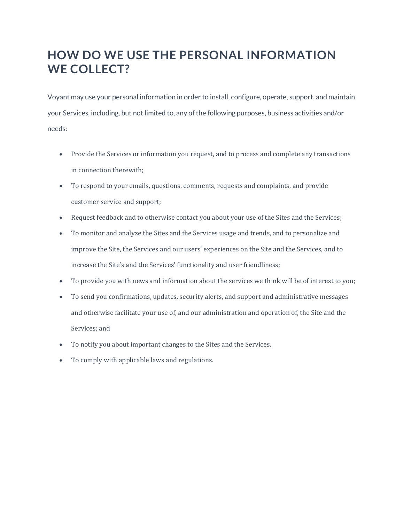# **HOW DO WE USE THE PERSONAL INFORMATION WE COLLECT?**

Voyant may use your personal information in order to install, configure, operate, support, and maintain your Services, including, but not limited to, any of the following purposes, business activities and/or needs:

- Provide the Services or information you request, and to process and complete any transactions in connection therewith;
- To respond to your emails, questions, comments, requests and complaints, and provide customer service and support;
- Request feedback and to otherwise contact you about your use of the Sites and the Services;
- To monitor and analyze the Sites and the Services usage and trends, and to personalize and improve the Site, the Services and our users' experiences on the Site and the Services, and to increase the Site's and the Services' functionality and user friendliness;
- To provide you with news and information about the services we think will be of interest to you;
- To send you confirmations, updates, security alerts, and support and administrative messages and otherwise facilitate your use of, and our administration and operation of, the Site and the Services; and
- To notify you about important changes to the Sites and the Services.
- To comply with applicable laws and regulations.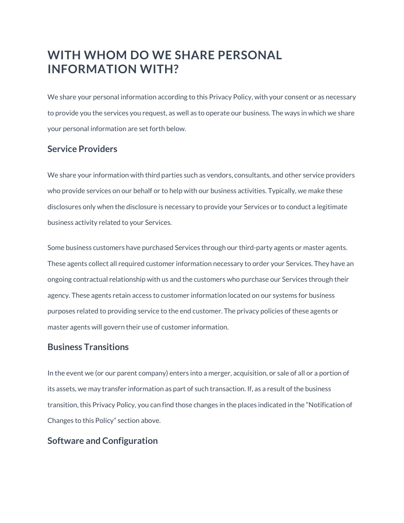# **WITH WHOM DO WE SHARE PERSONAL INFORMATION WITH?**

We share your personal information according to this Privacy Policy, with your consent or as necessary to provide you the services you request, as well as to operate our business. The ways in which we share your personal information are set forth below.

#### **Service Providers**

We share your information with third parties such as vendors, consultants, and other service providers who provide services on our behalf or to help with our business activities. Typically, we make these disclosures only when the disclosure is necessary to provide your Services or to conduct a legitimate business activity related to your Services.

Some business customers have purchased Services through our third-party agents or master agents. These agents collect all required customer information necessary to order your Services. They have an ongoing contractual relationship with us and the customers who purchase our Services through their agency. These agents retain access to customer information located on our systems for business purposes related to providing service to the end customer. The privacy policies of these agents or master agents will govern their use of customer information.

#### **Business Transitions**

In the event we (or our parent company) enters into a merger, acquisition, or sale of all or a portion of its assets, we may transfer information as part of such transaction. If, as a result of the business transition, this Privacy Policy, you can find those changes in the places indicated in the "Notification of Changes to this Policy" section above.

#### **Software and Configuration**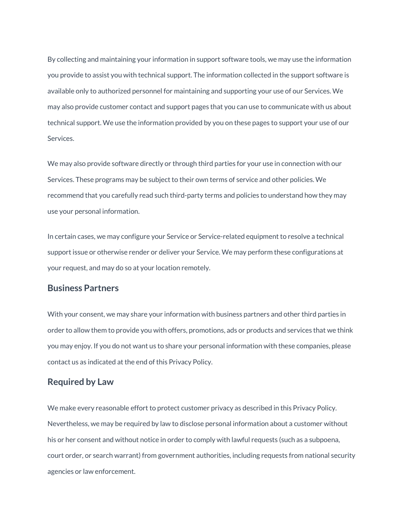By collecting and maintaining your information in support software tools, we may use the information you provide to assist you with technical support. The information collected in the support software is available only to authorized personnel for maintaining and supporting your use of our Services. We may also provide customer contact and support pages that you can use to communicate with us about technical support. We use the information provided by you on these pages to support your use of our Services.

We may also provide software directly or through third parties for your use in connection with our Services. These programs may be subject to their own terms of service and other policies. We recommend that you carefully read such third-party terms and policies to understand how they may use your personal information.

In certain cases, we may configure your Service or Service-related equipment to resolve a technical support issue or otherwise render or deliver your Service. We may perform these configurations at your request, and may do so at your location remotely.

#### **Business Partners**

With your consent, we may share your information with business partners and other third parties in order to allow them to provide you with offers, promotions, ads or products and services that we think you may enjoy. If you do not want us to share your personal information with these companies, please contact us as indicated at the end of this Privacy Policy.

#### **Required by Law**

We make every reasonable effort to protect customer privacy as described in this Privacy Policy. Nevertheless, we may be required by law to disclose personal information about a customer without his or her consent and without notice in order to comply with lawful requests (such as a subpoena, court order, or search warrant) from government authorities, including requests from national security agencies or law enforcement.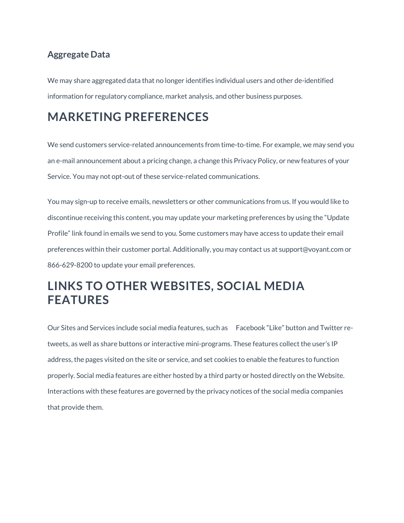#### **Aggregate Data**

We may share aggregated data that no longer identifies individual users and other de-identified information for regulatory compliance, market analysis, and other business purposes.

### **MARKETING PREFERENCES**

We send customers service-related announcements from time-to-time. For example, we may send you an e-mail announcement about a pricing change, a change this Privacy Policy, or new features of your Service. You may not opt-out of these service-related communications.

You may sign-up to receive emails, newsletters or other communications from us. If you would like to discontinue receiving this content, you may update your marketing preferences by using the "Update Profile" link found in emails we send to you. Some customers may have access to update their email preferences within their customer portal. Additionally, you may contact us at support@voyant.com or 866-629-8200 to update your email preferences.

# **LINKS TO OTHER WEBSITES, SOCIAL MEDIA FEATURES**

Our Sites and Services include social media features, such as Facebook "Like" button and Twitter retweets, as well as share buttons or interactive mini-programs. These features collect the user's IP address, the pages visited on the site or service, and set cookies to enable the features to function properly. Social media features are either hosted by a third party or hosted directly on the Website. Interactions with these features are governed by the privacy notices of the social media companies that provide them.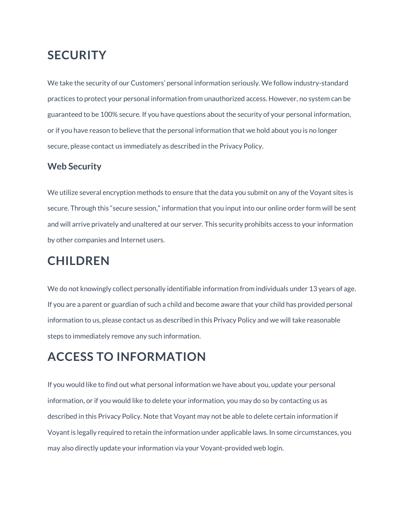### **SECURITY**

We take the security of our Customers' personal information seriously. We follow industry-standard practices to protect your personal information from unauthorized access. However, no system can be guaranteed to be 100% secure. If you have questions about the security of your personal information, or if you have reason to believe that the personal information that we hold about you is no longer secure, please contact us immediately as described in the Privacy Policy.

#### **Web Security**

We utilize several encryption methods to ensure that the data you submit on any of the Voyant sites is secure. Through this "secure session," information that you input into our online order form will be sent and will arrive privately and unaltered at our server. This security prohibits access to your information by other companies and Internet users.

# **CHILDREN**

We do not knowingly collect personally identifiable information from individuals under 13 years of age. If you are a parent or guardian of such a child and become aware that your child has provided personal information to us, please contact us as described in this Privacy Policy and we will take reasonable steps to immediately remove any such information.

# **ACCESS TO INFORMATION**

If you would like to find out what personal information we have about you, update your personal information, or if you would like to delete your information, you may do so by contacting us as described in this Privacy Policy. Note that Voyant may not be able to delete certain information if Voyant is legally required to retain the information under applicable laws. In some circumstances, you may also directly update your information via your Voyant-provided web login.